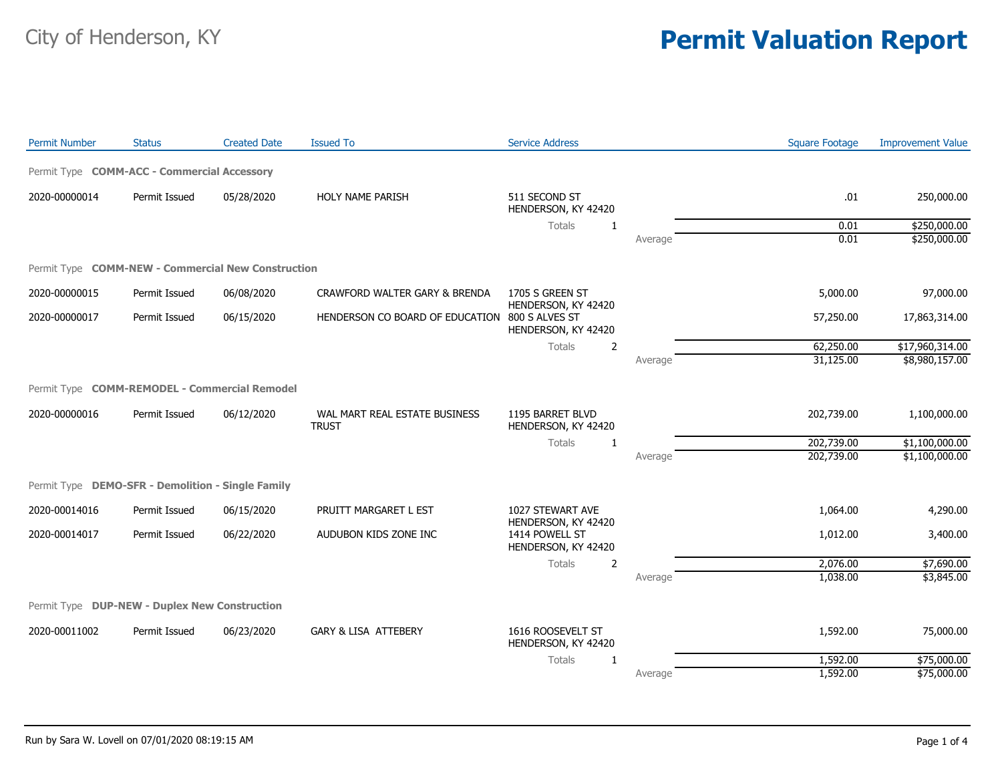| <b>Permit Number</b> | <b>Status</b>                                      | <b>Created Date</b> | <b>Issued To</b>                               | <b>Service Address</b>                                       |         | <b>Square Footage</b> | <b>Improvement Value</b> |
|----------------------|----------------------------------------------------|---------------------|------------------------------------------------|--------------------------------------------------------------|---------|-----------------------|--------------------------|
|                      | Permit Type COMM-ACC - Commercial Accessory        |                     |                                                |                                                              |         |                       |                          |
| 2020-00000014        | Permit Issued                                      | 05/28/2020          | HOLY NAME PARISH                               | 511 SECOND ST<br>HENDERSON, KY 42420                         |         | .01                   | 250,000.00               |
|                      |                                                    |                     |                                                | Totals<br>1                                                  |         | 0.01                  | \$250,000.00             |
|                      |                                                    |                     |                                                |                                                              | Average | 0.01                  | \$250,000.00             |
|                      | Permit Type COMM-NEW - Commercial New Construction |                     |                                                |                                                              |         |                       |                          |
| 2020-00000015        | Permit Issued                                      | 06/08/2020          | CRAWFORD WALTER GARY & BRENDA                  | 1705 S GREEN ST                                              |         | 5,000.00              | 97,000.00                |
| 2020-00000017        | Permit Issued                                      | 06/15/2020          | HENDERSON CO BOARD OF EDUCATION 800 S ALVES ST | HENDERSON, KY 42420<br>HENDERSON, KY 42420                   |         | 57,250.00             | 17,863,314.00            |
|                      |                                                    |                     |                                                | Totals<br>$\overline{2}$                                     |         | 62,250.00             | \$17,960,314.00          |
|                      |                                                    |                     |                                                |                                                              | Average | 31,125.00             | \$8,980,157.00           |
|                      | Permit Type COMM-REMODEL - Commercial Remodel      |                     |                                                |                                                              |         |                       |                          |
| 2020-00000016        | Permit Issued                                      | 06/12/2020          | WAL MART REAL ESTATE BUSINESS<br><b>TRUST</b>  | 1195 BARRET BLVD<br>HENDERSON, KY 42420                      |         | 202,739.00            | 1,100,000.00             |
|                      |                                                    |                     |                                                | Totals<br>1                                                  |         | 202,739.00            | \$1,100,000.00           |
|                      |                                                    |                     |                                                |                                                              | Average | 202,739.00            | \$1,100,000.00           |
|                      | Permit Type DEMO-SFR - Demolition - Single Family  |                     |                                                |                                                              |         |                       |                          |
| 2020-00014016        | Permit Issued                                      | 06/15/2020          | PRUITT MARGARET L EST                          | 1027 STEWART AVE                                             |         | 1,064.00              | 4,290.00                 |
| 2020-00014017        | Permit Issued                                      | 06/22/2020          | AUDUBON KIDS ZONE INC                          | HENDERSON, KY 42420<br>1414 POWELL ST<br>HENDERSON, KY 42420 |         | 1,012.00              | 3,400.00                 |
|                      |                                                    |                     |                                                | Totals<br>2                                                  |         | 2,076.00              | \$7,690.00               |
|                      |                                                    |                     |                                                |                                                              | Average | 1,038.00              | \$3,845.00               |
|                      | Permit Type DUP-NEW - Duplex New Construction      |                     |                                                |                                                              |         |                       |                          |
| 2020-00011002        | Permit Issued                                      | 06/23/2020          | <b>GARY &amp; LISA ATTEBERY</b>                | 1616 ROOSEVELT ST<br>HENDERSON, KY 42420                     |         | 1,592.00              | 75,000.00                |
|                      |                                                    |                     |                                                | Totals<br>1                                                  |         | 1,592.00              | \$75,000.00              |
|                      |                                                    |                     |                                                |                                                              | Average | 1,592.00              | \$75,000.00              |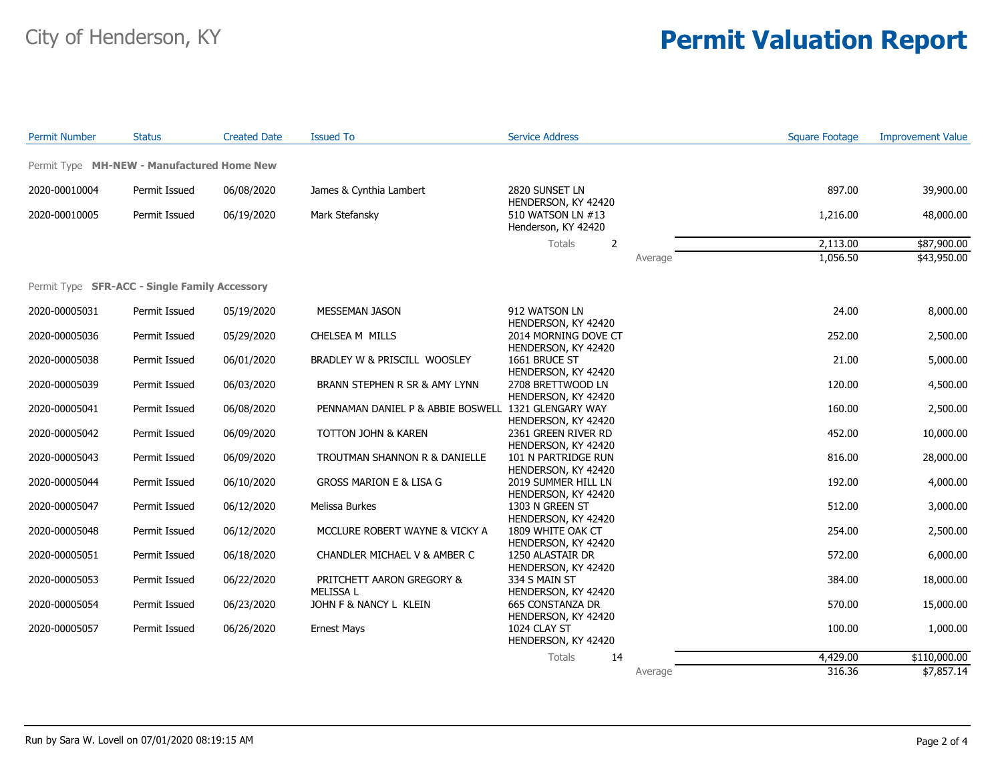| <b>Permit Number</b> | <b>Status</b>                                        | <b>Created Date</b> | <b>Issued To</b>                                    | <b>Service Address</b>                                             |         | <b>Square Footage</b> | <b>Improvement Value</b> |
|----------------------|------------------------------------------------------|---------------------|-----------------------------------------------------|--------------------------------------------------------------------|---------|-----------------------|--------------------------|
|                      | Permit Type MH-NEW - Manufactured Home New           |                     |                                                     |                                                                    |         |                       |                          |
| 2020-00010004        | Permit Issued                                        | 06/08/2020          | James & Cynthia Lambert                             | 2820 SUNSET LN<br>HENDERSON, KY 42420                              |         | 897.00                | 39,900.00                |
| 2020-00010005        | Permit Issued                                        | 06/19/2020          | Mark Stefansky                                      | 510 WATSON LN #13<br>Henderson, KY 42420                           |         | 1,216.00              | 48,000.00                |
|                      |                                                      |                     |                                                     | <b>Totals</b><br>2                                                 |         | 2,113.00              | \$87,900.00              |
|                      |                                                      |                     |                                                     |                                                                    | Average | 1,056.50              | \$43,950.00              |
|                      | Permit Type <b>SFR-ACC - Single Family Accessory</b> |                     |                                                     |                                                                    |         |                       |                          |
| 2020-00005031        | Permit Issued                                        | 05/19/2020          | MESSEMAN JASON                                      | 912 WATSON LN                                                      |         | 24.00                 | 8,000.00                 |
| 2020-00005036        | Permit Issued                                        | 05/29/2020          | CHELSEA M MILLS                                     | HENDERSON, KY 42420<br>2014 MORNING DOVE CT<br>HENDERSON, KY 42420 |         | 252.00                | 2,500.00                 |
| 2020-00005038        | Permit Issued                                        | 06/01/2020          | BRADLEY W & PRISCILL WOOSLEY                        | 1661 BRUCE ST<br>HENDERSON, KY 42420                               |         | 21.00                 | 5,000.00                 |
| 2020-00005039        | Permit Issued                                        | 06/03/2020          | BRANN STEPHEN R SR & AMY LYNN                       | 2708 BRETTWOOD LN<br>HENDERSON, KY 42420                           |         | 120.00                | 4,500.00                 |
| 2020-00005041        | Permit Issued                                        | 06/08/2020          | PENNAMAN DANIEL P & ABBIE BOSWELL 1321 GLENGARY WAY | HENDERSON, KY 42420                                                |         | 160.00                | 2,500.00                 |
| 2020-00005042        | Permit Issued                                        | 06/09/2020          | TOTTON JOHN & KAREN                                 | 2361 GREEN RIVER RD<br>HENDERSON, KY 42420                         |         | 452.00                | 10,000.00                |
| 2020-00005043        | Permit Issued                                        | 06/09/2020          | TROUTMAN SHANNON R & DANIELLE                       | 101 N PARTRIDGE RUN<br>HENDERSON, KY 42420                         |         | 816.00                | 28,000.00                |
| 2020-00005044        | Permit Issued                                        | 06/10/2020          | <b>GROSS MARION E &amp; LISA G</b>                  | 2019 SUMMER HILL LN<br>HENDERSON, KY 42420                         |         | 192.00                | 4,000.00                 |
| 2020-00005047        | Permit Issued                                        | 06/12/2020          | Melissa Burkes                                      | 1303 N GREEN ST<br>HENDERSON, KY 42420                             |         | 512.00                | 3,000.00                 |
| 2020-00005048        | Permit Issued                                        | 06/12/2020          | MCCLURE ROBERT WAYNE & VICKY A                      | 1809 WHITE OAK CT<br>HENDERSON, KY 42420                           |         | 254.00                | 2,500.00                 |
| 2020-00005051        | Permit Issued                                        | 06/18/2020          | CHANDLER MICHAEL V & AMBER C                        | 1250 ALASTAIR DR<br>HENDERSON, KY 42420                            |         | 572.00                | 6,000.00                 |
| 2020-00005053        | Permit Issued                                        | 06/22/2020          | PRITCHETT AARON GREGORY &<br><b>MELISSA L</b>       | 334 S MAIN ST<br>HENDERSON, KY 42420                               |         | 384.00                | 18,000.00                |
| 2020-00005054        | Permit Issued                                        | 06/23/2020          | JOHN F & NANCY L KLEIN                              | 665 CONSTANZA DR<br>HENDERSON, KY 42420                            |         | 570.00                | 15,000.00                |
| 2020-00005057        | Permit Issued                                        | 06/26/2020          | <b>Ernest Mays</b>                                  | 1024 CLAY ST<br>HENDERSON, KY 42420                                |         | 100.00                | 1,000.00                 |
|                      |                                                      |                     |                                                     | 14<br><b>Totals</b>                                                |         | 4,429.00              | \$110,000.00             |
|                      |                                                      |                     |                                                     |                                                                    | Average | 316.36                | \$7,857.14               |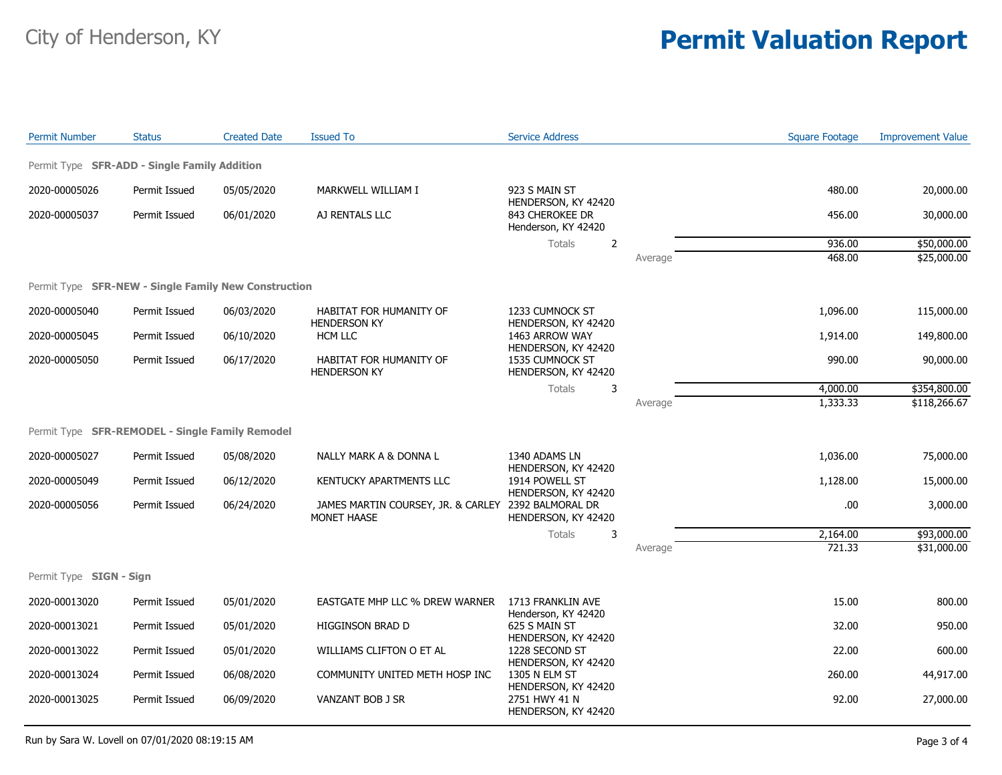| <b>Permit Number</b>                                        | <b>Status</b> | <b>Created Date</b> | <b>Issued To</b>                                  | <b>Service Address</b>                                        |         | <b>Square Footage</b> | <b>Improvement Value</b> |
|-------------------------------------------------------------|---------------|---------------------|---------------------------------------------------|---------------------------------------------------------------|---------|-----------------------|--------------------------|
| Permit Type SFR-ADD - Single Family Addition                |               |                     |                                                   |                                                               |         |                       |                          |
| 2020-00005026                                               | Permit Issued | 05/05/2020          | MARKWELL WILLIAM I                                | 923 S MAIN ST                                                 |         | 480.00                | 20,000.00                |
| 2020-00005037                                               | Permit Issued | 06/01/2020          | AJ RENTALS LLC                                    | HENDERSON, KY 42420<br>843 CHEROKEE DR<br>Henderson, KY 42420 |         | 456.00                | 30,000.00                |
|                                                             |               |                     |                                                   | $\overline{2}$<br>Totals                                      |         | 936.00                | \$50,000.00              |
|                                                             |               |                     |                                                   |                                                               | Average | 468.00                | \$25,000.00              |
| Permit Type <b>SFR-NEW - Single Family New Construction</b> |               |                     |                                                   |                                                               |         |                       |                          |
| 2020-00005040                                               | Permit Issued | 06/03/2020          | HABITAT FOR HUMANITY OF<br><b>HENDERSON KY</b>    | 1233 CUMNOCK ST<br>HENDERSON, KY 42420                        |         | 1,096.00              | 115,000.00               |
| 2020-00005045                                               | Permit Issued | 06/10/2020          | <b>HCM LLC</b>                                    | 1463 ARROW WAY<br>HENDERSON, KY 42420                         |         | 1,914.00              | 149,800.00               |
| 2020-00005050                                               | Permit Issued | 06/17/2020          | HABITAT FOR HUMANITY OF<br><b>HENDERSON KY</b>    | 1535 CUMNOCK ST<br>HENDERSON, KY 42420                        |         | 990.00                | 90,000.00                |
|                                                             |               |                     |                                                   | Totals<br>3                                                   |         | 4,000.00              | \$354,800.00             |
|                                                             |               |                     |                                                   |                                                               | Average | 1,333.33              | \$118,266.67             |
| Permit Type SFR-REMODEL - Single Family Remodel             |               |                     |                                                   |                                                               |         |                       |                          |
| 2020-00005027                                               | Permit Issued | 05/08/2020          | NALLY MARK A & DONNA L                            | 1340 ADAMS LN<br>HENDERSON, KY 42420                          |         | 1,036.00              | 75,000.00                |
| 2020-00005049                                               | Permit Issued | 06/12/2020          | KENTUCKY APARTMENTS LLC                           | 1914 POWELL ST<br>HENDERSON, KY 42420                         |         | 1,128.00              | 15,000.00                |
| 2020-00005056                                               | Permit Issued | 06/24/2020          | JAMES MARTIN COURSEY, JR. & CARLEY<br>MONET HAASE | 2392 BALMORAL DR<br>HENDERSON, KY 42420                       |         | .00                   | 3,000.00                 |
|                                                             |               |                     |                                                   | Totals<br>3                                                   |         | 2,164.00              | \$93,000.00              |
|                                                             |               |                     |                                                   |                                                               | Average | 721.33                | \$31,000.00              |
| Permit Type SIGN - Sign                                     |               |                     |                                                   |                                                               |         |                       |                          |
| 2020-00013020                                               | Permit Issued | 05/01/2020          | <b>EASTGATE MHP LLC % DREW WARNER</b>             | 1713 FRANKLIN AVE                                             |         | 15.00                 | 800.00                   |
| 2020-00013021                                               | Permit Issued | 05/01/2020          | HIGGINSON BRAD D                                  | Henderson, KY 42420<br>625 S MAIN ST<br>HENDERSON, KY 42420   |         | 32.00                 | 950.00                   |
| 2020-00013022                                               | Permit Issued | 05/01/2020          | WILLIAMS CLIFTON O ET AL                          | 1228 SECOND ST<br>HENDERSON, KY 42420                         |         | 22.00                 | 600.00                   |
| 2020-00013024                                               | Permit Issued | 06/08/2020          | COMMUNITY UNITED METH HOSP INC                    | 1305 N ELM ST<br>HENDERSON, KY 42420                          |         | 260.00                | 44,917.00                |
| 2020-00013025                                               | Permit Issued | 06/09/2020          | VANZANT BOB J SR                                  | 2751 HWY 41 N<br>HENDERSON, KY 42420                          |         | 92.00                 | 27,000.00                |